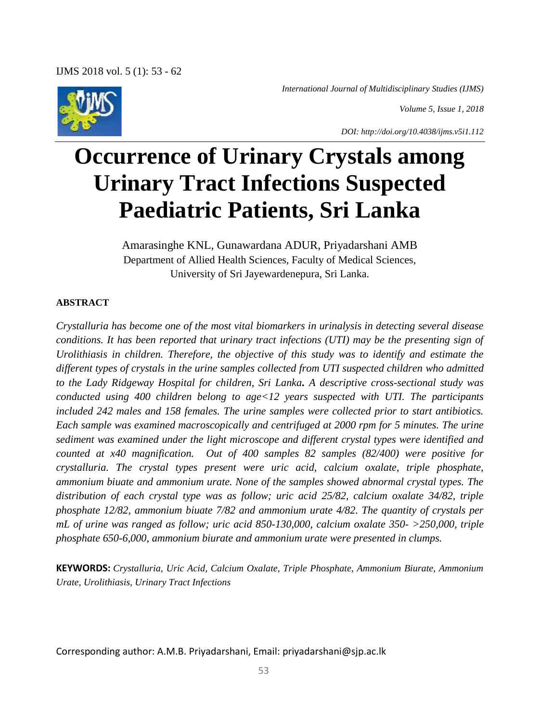*International Journal of Multidisciplinary Studies (IJMS)*

*Volume 5, Issue 1, 2018*



*DOI: http://doi.org/10.4038/ijms.v5i1.112*

# **Occurrence of Urinary Crystals among Urinary Tract Infections Suspected Paediatric Patients, Sri Lanka**

Amarasinghe KNL, Gunawardana ADUR, Priyadarshani AMB Department of Allied Health Sciences, Faculty of Medical Sciences, University of Sri Jayewardenepura, Sri Lanka.

# **ABSTRACT**

*Crystalluria has become one of the most vital biomarkers in urinalysis in detecting several disease conditions. It has been reported that urinary tract infections (UTI) may be the presenting sign of Urolithiasis in children. Therefore, the objective of this study was to identify and estimate the different types of crystals in the urine samples collected from UTI suspected children who admitted to the Lady Ridgeway Hospital for children, Sri Lanka. A descriptive cross-sectional study was conducted using 400 children belong to age<12 years suspected with UTI. The participants included 242 males and 158 females. The urine samples were collected prior to start antibiotics. Each sample was examined macroscopically and centrifuged at 2000 rpm for 5 minutes. The urine sediment was examined under the light microscope and different crystal types were identified and counted at x40 magnification. Out of 400 samples 82 samples (82/400) were positive for crystalluria. The crystal types present were uric acid, calcium oxalate, triple phosphate, ammonium biuate and ammonium urate. None of the samples showed abnormal crystal types. The distribution of each crystal type was as follow; uric acid 25/82, calcium oxalate 34/82, triple phosphate 12/82, ammonium biuate 7/82 and ammonium urate 4/82. The quantity of crystals per mL of urine was ranged as follow; uric acid 850-130,000, calcium oxalate 350- >250,000, triple phosphate 650-6,000, ammonium biurate and ammonium urate were presented in clumps.* 

**KEYWORDS:** *Crystalluria, Uric Acid, Calcium Oxalate, Triple Phosphate, Ammonium Biurate, Ammonium Urate, Urolithiasis, Urinary Tract Infections*

Corresponding author: A.M.B. Priyadarshani, Email: priyadarshani@sjp.ac.lk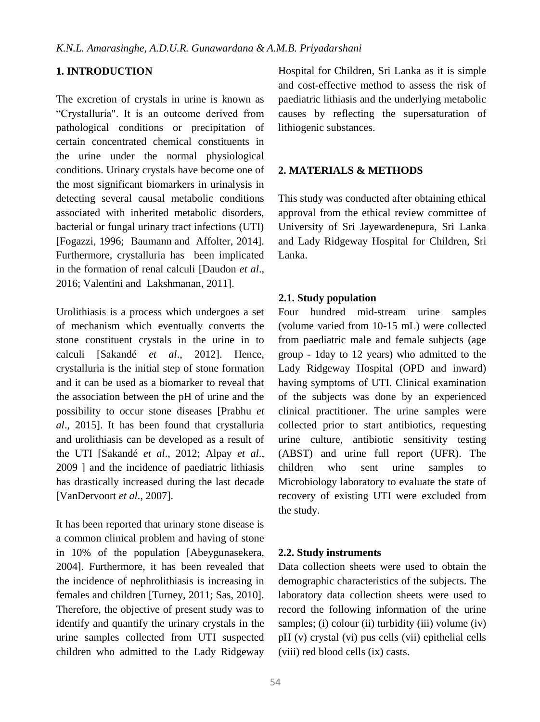## **1. INTRODUCTION**

The excretion of crystals in urine is known as "Crystalluria". It is an outcome derived from pathological conditions or precipitation of certain concentrated chemical constituents in the urine under the normal physiological conditions. Urinary crystals have become one of the most significant biomarkers in urinalysis in detecting several causal metabolic conditions associated with inherited metabolic disorders, bacterial or fungal urinary tract infections (UTI) [Fogazzi, 1996; Baumann and Affolter, 2014]. Furthermore, crystalluria has been implicated in the formation of renal calculi [Daudon *et al*., 2016; Valentini and Lakshmanan, 2011].

Urolithiasis is a process which undergoes a set of mechanism which eventually converts the stone constituent crystals in the urine in to calculi [Sakandé *et al*., 2012]. Hence, crystalluria is the initial step of stone formation and it can be used as a biomarker to reveal that the association between the pH of urine and the possibility to occur stone diseases [Prabhu *et al*., 2015]. It has been found that crystalluria and urolithiasis can be developed as a result of the UTI [Sakandé *et al*., 2012; Alpay *et al*., 2009 ] and the incidence of paediatric lithiasis has drastically increased during the last decade [VanDervoort *et al*., 2007].

It has been reported that urinary stone disease is a common clinical problem and having of stone in 10% of the population [Abeygunasekera, 2004]. Furthermore, it has been revealed that the incidence of nephrolithiasis is increasing in females and children [Turney, 2011; Sas, 2010]. Therefore, the objective of present study was to identify and quantify the urinary crystals in the urine samples collected from UTI suspected children who admitted to the Lady Ridgeway Hospital for Children, Sri Lanka as it is simple and cost-effective method to assess the risk of paediatric lithiasis and the underlying metabolic causes by reflecting the supersaturation of lithiogenic substances.

# **2. MATERIALS & METHODS**

This study was conducted after obtaining ethical approval from the ethical review committee of University of Sri Jayewardenepura, Sri Lanka and Lady Ridgeway Hospital for Children, Sri Lanka.

## **2.1. Study population**

Four hundred mid-stream urine samples (volume varied from 10-15 mL) were collected from paediatric male and female subjects (age group - 1day to 12 years) who admitted to the Lady Ridgeway Hospital (OPD and inward) having symptoms of UTI. Clinical examination of the subjects was done by an experienced clinical practitioner. The urine samples were collected prior to start antibiotics, requesting urine culture, antibiotic sensitivity testing (ABST) and urine full report (UFR). The children who sent urine samples to Microbiology laboratory to evaluate the state of recovery of existing UTI were excluded from the study.

## **2.2. Study instruments**

Data collection sheets were used to obtain the demographic characteristics of the subjects. The laboratory data collection sheets were used to record the following information of the urine samples; (i) colour (ii) turbidity (iii) volume (iv) pH (v) crystal (vi) pus cells (vii) epithelial cells (viii) red blood cells (ix) casts.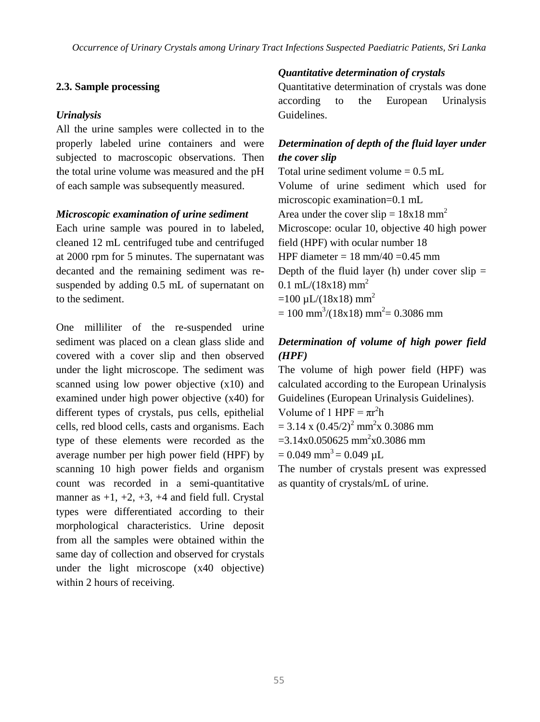## **2.3. Sample processing**

## *Urinalysis*

All the urine samples were collected in to the properly labeled urine containers and were subjected to macroscopic observations. Then the total urine volume was measured and the pH of each sample was subsequently measured.

## *Microscopic examination of urine sediment*

Each urine sample was poured in to labeled, cleaned 12 mL centrifuged tube and centrifuged at 2000 rpm for 5 minutes. The supernatant was decanted and the remaining sediment was resuspended by adding 0.5 mL of supernatant on to the sediment.

One milliliter of the re-suspended urine sediment was placed on a clean glass slide and covered with a cover slip and then observed under the light microscope. The sediment was scanned using low power objective (x10) and examined under high power objective (x40) for different types of crystals, pus cells, epithelial cells, red blood cells, casts and organisms. Each type of these elements were recorded as the average number per high power field (HPF) by scanning 10 high power fields and organism count was recorded in a semi-quantitative manner as  $+1$ ,  $+2$ ,  $+3$ ,  $+4$  and field full. Crystal types were differentiated according to their morphological characteristics. Urine deposit from all the samples were obtained within the same day of collection and observed for crystals under the light microscope (x40 objective) within 2 hours of receiving.

# *Quantitative determination of crystals*

Quantitative determination of crystals was done according to the European Urinalysis Guidelines.

# *Determination of depth of the fluid layer under the cover slip*

Total urine sediment volume  $= 0.5$  mL Volume of urine sediment which used for microscopic examination=0.1 mL Area under the cover slip =  $18x18$  mm<sup>2</sup> Microscope: ocular 10, objective 40 high power field (HPF) with ocular number 18 HPF diameter =  $18 \text{ mm}/40 = 0.45 \text{ mm}$ Depth of the fluid layer (h) under cover  $slip =$  $0.1$  mL/(18x18) mm<sup>2</sup>  $=100 \mu L/(18x18)$  mm<sup>2</sup>  $= 100$  mm<sup>3</sup>/(18x18) mm<sup>2</sup> = 0.3086 mm

# *Determination of volume of high power field (HPF)*

The volume of high power field (HPF) was calculated according to the European Urinalysis Guidelines (European Urinalysis Guidelines). Volume of 1 HPF =  $\pi r^2 h$ 

 $= 3.14$  x  $(0.45/2)^2$  mm<sup>2</sup>x 0.3086 mm

 $=$ 3.14x0.050625 mm<sup>2</sup>x0.3086 mm

 $= 0.049$  mm<sup>3</sup> $= 0.049$  uL

The number of crystals present was expressed as quantity of crystals/mL of urine.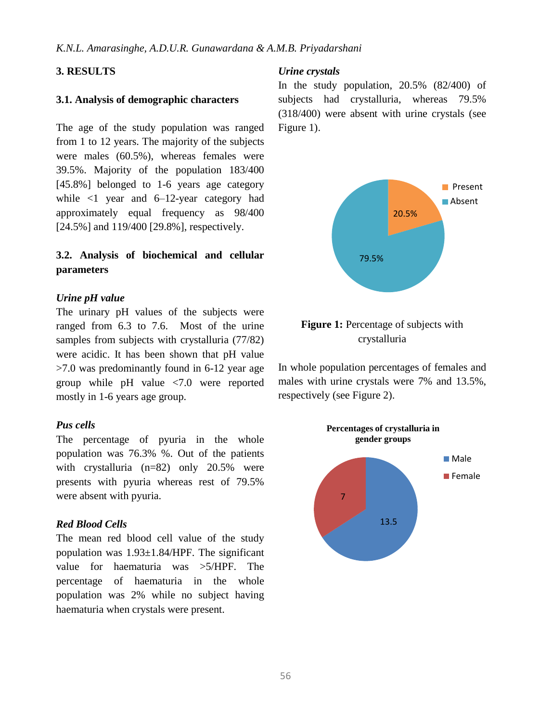## **3. RESULTS**

#### **3.1. Analysis of demographic characters**

The age of the study population was ranged from 1 to 12 years. The majority of the subjects were males (60.5%), whereas females were 39.5%. Majority of the population 183/400 [45.8%] belonged to 1-6 years age category while  $\langle 1 \rangle$  year and 6–12-year category had approximately equal frequency as 98/400 [24.5%] and 119/400 [29.8%], respectively.

# **3.2. Analysis of biochemical and cellular parameters**

#### *Urine pH value*

The urinary pH values of the subjects were ranged from 6.3 to 7.6. Most of the urine samples from subjects with crystalluria (77/82) were acidic. It has been shown that pH value >7.0 was predominantly found in 6-12 year age group while pH value <7.0 were reported mostly in 1-6 years age group.

#### *Pus cells*

The percentage of pyuria in the whole population was 76.3% %. Out of the patients with crystalluria (n=82) only 20.5% were presents with pyuria whereas rest of 79.5% were absent with pyuria.

## *Red Blood Cells*

The mean red blood cell value of the study population was 1.93±1.84/HPF. The significant value for haematuria was >5/HPF. The percentage of haematuria in the whole population was 2% while no subject having haematuria when crystals were present.

#### *Urine crystals*

In the study population, 20.5% (82/400) of subjects had crystalluria, whereas 79.5% (318/400) were absent with urine crystals (see Figure 1).



# **Figure 1:** Percentage of subjects with crystalluria

In whole population percentages of females and males with urine crystals were 7% and 13.5%, respectively (see Figure 2).

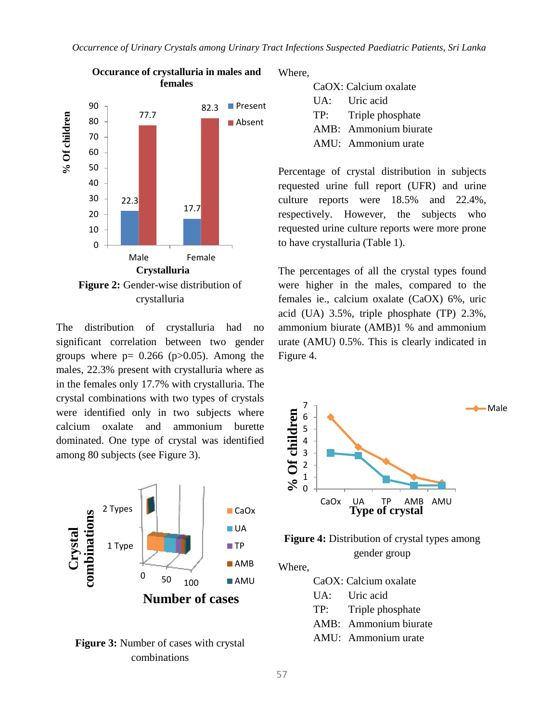

The distribution of crystalluria had no significant correlation between two gender groups where  $p = 0.266$  ( $p > 0.05$ ). Among the males, 22.3% present with crystalluria where as in the females only 17.7% with crystalluria. The crystal combinations with two types of crystals were identified only in two subjects where calcium oxalate and ammonium burette dominated. One type of crystal was identified among 80 subjects (see Figure 3).



**Figure 3:** Number of cases with crystal combinations

Where,

| CaOX: Calcium oxalate |                       |  |
|-----------------------|-----------------------|--|
| $\mathbf{IIA}$ :      | Uric acid             |  |
| TP:                   | Triple phosphate      |  |
|                       | AMB: Ammonium biurate |  |
|                       | AMU: Ammonium urate   |  |

Percentage of crystal distribution in subjects requested urine full report (UFR) and urine culture reports were 18.5% and 22.4%, respectively. However, the subjects who requested urine culture reports were more prone to have crystalluria (Table 1).

The percentages of all the crystal types found were higher in the males, compared to the females ie., calcium oxalate (CaOX) 6%, uric acid (UA) 3.5%, triple phosphate (TP) 2.3%, ammonium biurate (AMB)1 % and ammonium urate (AMU) 0.5%. This is clearly indicated in Figure 4.





Where,

CaOX: Calcium oxalate

- UA: Uric acid
- TP: Triple phosphate
- AMB: Ammonium biurate
- AMU: Ammonium urate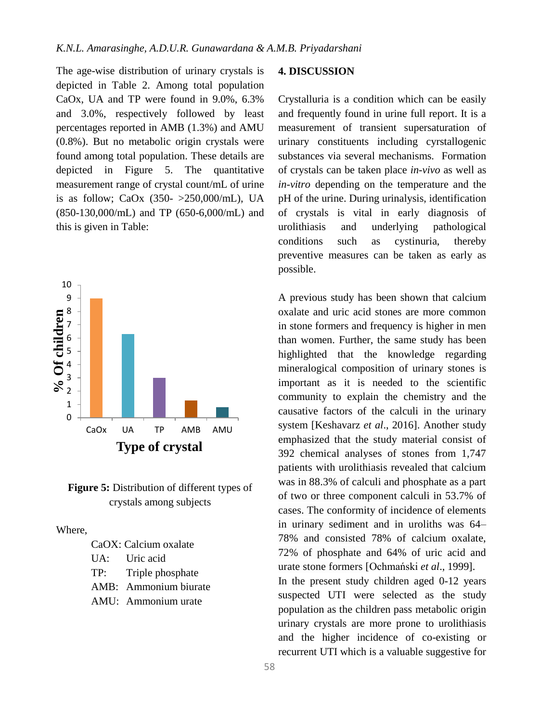The age-wise distribution of urinary crystals is depicted in Table 2. Among total population CaOx, UA and TP were found in 9.0%, 6.3% and 3.0%, respectively followed by least percentages reported in AMB (1.3%) and AMU (0.8%). But no metabolic origin crystals were found among total population. These details are depicted in Figure 5. The quantitative measurement range of crystal count/mL of urine is as follow; CaOx  $(350 - 250,000/\text{mL})$ , UA (850-130,000/mL) and TP (650-6,000/mL) and this is given in Table:



**Figure 5:** Distribution of different types of crystals among subjects

Where,

| CaOX: Calcium oxalate |                       |  |
|-----------------------|-----------------------|--|
|                       | UA: Uric acid         |  |
| TP:                   | Triple phosphate      |  |
|                       | AMB: Ammonium biurate |  |
|                       | AMU: Ammonium urate   |  |

#### **4. DISCUSSION**

Crystalluria is a condition which can be easily and frequently found in urine full report. It is a measurement of transient supersaturation of urinary constituents including cyrstallogenic substances via several mechanisms. Formation of crystals can be taken place *in-vivo* as well as *in-vitro* depending on the temperature and the pH of the urine. During urinalysis, identification of crystals is vital in early diagnosis of urolithiasis and underlying pathological conditions such as cystinuria, thereby preventive measures can be taken as early as possible.

A previous study has been shown that calcium oxalate and uric acid stones are more common in stone formers and frequency is higher in men than women. Further, the same study has been highlighted that the knowledge regarding mineralogical composition of urinary stones is important as it is needed to the scientific community to explain the chemistry and the causative factors of the calculi in the urinary system [Keshavarz *et al*., 2016]. Another study emphasized that the study material consist of 392 chemical analyses of stones from 1,747 patients with urolithiasis revealed that calcium was in 88.3% of calculi and phosphate as a part of two or three component calculi in 53.7% of cases. The conformity of incidence of elements in urinary sediment and in uroliths was 64– 78% and consisted 78% of calcium oxalate, 72% of phosphate and 64% of uric acid and urate stone formers [Ochmański *et al*., 1999].

In the present study children aged 0-12 years suspected UTI were selected as the study population as the children pass metabolic origin urinary crystals are more prone to urolithiasis and the higher incidence of co-existing or recurrent UTI which is a valuable suggestive for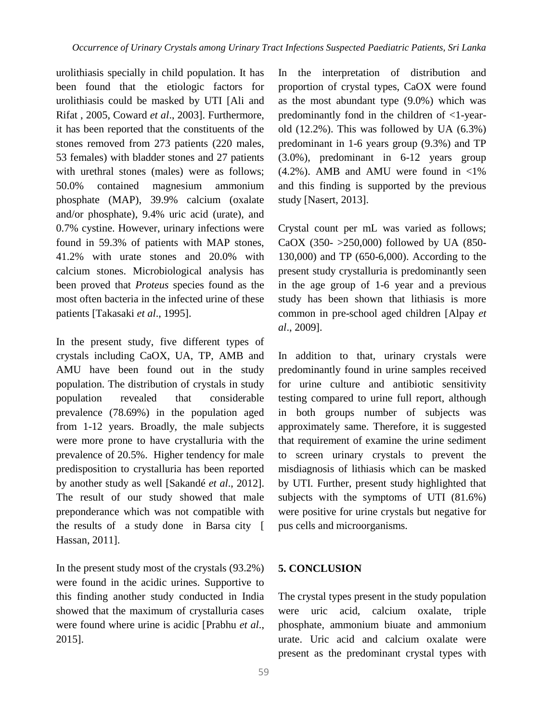urolithiasis specially in child population. It has been found that the etiologic factors for urolithiasis could be masked by UTI [Ali and Rifat , 2005, Coward *et al*., 2003]. Furthermore, it has been reported that the constituents of the stones removed from 273 patients (220 males, 53 females) with bladder stones and 27 patients with urethral stones (males) were as follows; 50.0% contained magnesium ammonium phosphate (MAP), 39.9% calcium (oxalate and/or phosphate), 9.4% uric acid (urate), and 0.7% cystine. However, urinary infections were found in 59.3% of patients with MAP stones, 41.2% with urate stones and 20.0% with calcium stones. Microbiological analysis has been proved that *Proteus* species found as the most often bacteria in the infected urine of these patients [Takasaki *et al*., 1995].

In the present study, five different types of crystals including CaOX, UA, TP, AMB and AMU have been found out in the study population. The distribution of crystals in study population revealed that considerable prevalence (78.69%) in the population aged from 1-12 years. Broadly, the male subjects were more prone to have crystalluria with the prevalence of 20.5%. Higher tendency for male predisposition to crystalluria has been reported by another study as well [Sakandé *et al*., 2012]. The result of our study showed that male preponderance which was not compatible with the results of a study done in Barsa city [ Hassan, 2011].

In the present study most of the crystals (93.2%) were found in the acidic urines. Supportive to this finding another study conducted in India showed that the maximum of crystalluria cases were found where urine is acidic [Prabhu *et al*., 2015].

In the interpretation of distribution and proportion of crystal types, CaOX were found as the most abundant type (9.0%) which was predominantly fond in the children of <1-yearold (12.2%). This was followed by UA (6.3%) predominant in 1-6 years group (9.3%) and TP (3.0%), predominant in 6-12 years group  $(4.2\%)$ . AMB and AMU were found in <1% and this finding is supported by the previous study [Nasert, 2013].

Crystal count per mL was varied as follows; CaOX (350- >250,000) followed by UA (850- 130,000) and TP (650-6,000). According to the present study crystalluria is predominantly seen in the age group of 1-6 year and a previous study has been shown that lithiasis is more common in pre-school aged children [Alpay *et al*., 2009].

In addition to that, urinary crystals were predominantly found in urine samples received for urine culture and antibiotic sensitivity testing compared to urine full report, although in both groups number of subjects was approximately same. Therefore, it is suggested that requirement of examine the urine sediment to screen urinary crystals to prevent the misdiagnosis of lithiasis which can be masked by UTI. Further, present study highlighted that subjects with the symptoms of UTI (81.6%) were positive for urine crystals but negative for pus cells and microorganisms.

#### **5. CONCLUSION**

The crystal types present in the study population were uric acid, calcium oxalate, triple phosphate, ammonium biuate and ammonium urate. Uric acid and calcium oxalate were present as the predominant crystal types with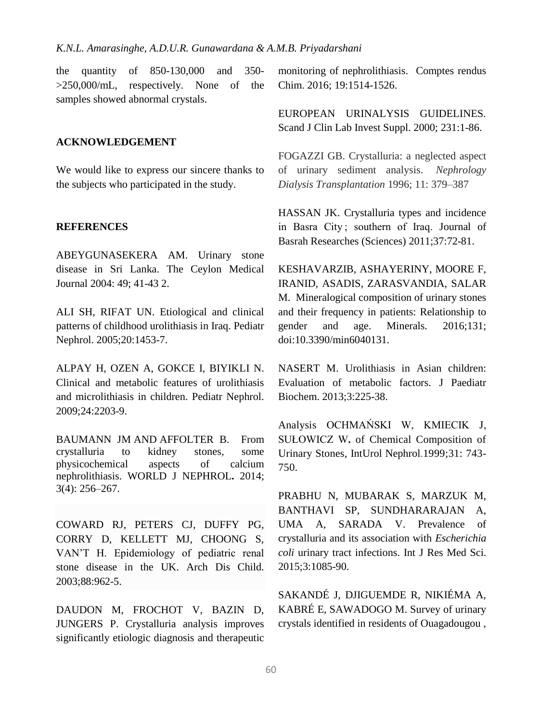the quantity of 850-130,000 and 350- >250,000/mL, respectively. None of the samples showed abnormal crystals.

#### **ACKNOWLEDGEMENT**

We would like to express our sincere thanks to the subjects who participated in the study.

#### **REFERENCES**

ABEYGUNASEKERA AM. Urinary stone disease in Sri Lanka. The Ceylon Medical Journal 2004: 49; 41-43 2.

ALI SH, RIFAT UN. Etiological and clinical patterns of childhood urolithiasis in Iraq. Pediatr Nephrol. 2005;20:1453-7.

ALPAY H, OZEN A, GOKCE I, BIYIKLI N. Clinical and metabolic features of urolithiasis and microlithiasis in children. Pediatr Nephrol. 2009;24:2203-9.

BAUMANN JM AND AFFOLTER B. From crystalluria to kidney stones, some physicochemical aspects of calcium nephrolithiasis. WORLD J NEPHROL**.** 2014; 3(4): 256–267.

COWARD RJ, PETERS CJ, DUFFY PG, CORRY D, KELLETT MJ, CHOONG S, VAN'T H. Epidemiology of pediatric renal stone disease in the UK. Arch Dis Child. 2003;88:962-5.

DAUDON M, FROCHOT V, BAZIN D, JUNGERS P. Crystalluria analysis improves significantly etiologic diagnosis and therapeutic monitoring of nephrolithiasis. Comptes rendus Chim. 2016; 19:1514-1526.

EUROPEAN URINALYSIS GUIDELINES. Scand J Clin Lab Invest Suppl. 2000; 231:1-86.

FOGAZZI GB. Crystalluria: a neglected aspect of urinary sediment analysis. *Nephrology Dialysis Transplantation* 1996; 11: 379–387

HASSAN JK. Crystalluria types and incidence in Basra City ; southern of Iraq. Journal of Basrah Researches (Sciences) 2011;37:72-81.

KESHAVARZIB, ASHAYERINY, MOORE F, IRANID, ASADIS, ZARASVANDIA, SALAR M. Mineralogical composition of urinary stones and their frequency in patients: Relationship to gender and age. Minerals. 2016;131; doi:10.3390/min6040131.

NASERT M. Urolithiasis in Asian children: Evaluation of metabolic factors. J Paediatr Biochem. 2013;3:225-38.

Analysis OCHMAŃSKI W, KMIECIK J, SUŁOWICZ W**.** of Chemical Composition of Urinary Stones, IntUrol Nephrol.1999;31: 743- 750.

PRABHU N, MUBARAK S, MARZUK M, BANTHAVI SP, SUNDHARARAJAN A, UMA A, SARADA V. Prevalence of crystalluria and its association with *Escherichia coli* urinary tract infections. Int J Res Med Sci. 2015;3:1085-90.

SAKANDÉ J, DJIGUEMDE R, NIKIÉMA A, KABRÉ E, SAWADOGO M. Survey of urinary crystals identified in residents of Ouagadougou ,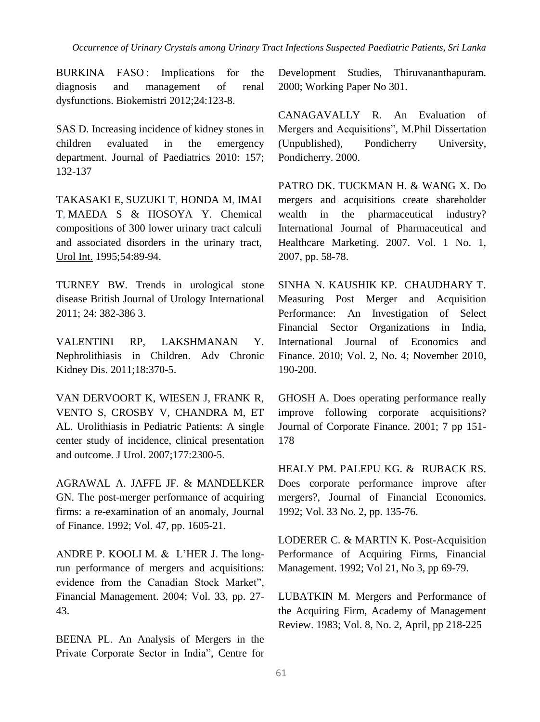BURKINA FASO: Implications for the diagnosis and management of renal dysfunctions. Biokemistri 2012;24:123-8.

SAS D. Increasing incidence of kidney stones in children evaluated in the emergency department. Journal of Paediatrics 2010: 157; 132-137

[TAKASAKI E,](https://www.ncbi.nlm.nih.gov/pubmed/?term=Takasaki%20E%5BAuthor%5D&cauthor=true&cauthor_uid=7538235) [SUZUKI T,](https://www.ncbi.nlm.nih.gov/pubmed/?term=Suzuki%20T%5BAuthor%5D&cauthor=true&cauthor_uid=7538235) [HONDA M,](https://www.ncbi.nlm.nih.gov/pubmed/?term=Honda%20M%5BAuthor%5D&cauthor=true&cauthor_uid=7538235) [IMAI](https://www.ncbi.nlm.nih.gov/pubmed/?term=Imai%20T%5BAuthor%5D&cauthor=true&cauthor_uid=7538235)  [T,](https://www.ncbi.nlm.nih.gov/pubmed/?term=Imai%20T%5BAuthor%5D&cauthor=true&cauthor_uid=7538235) [MAEDA S](https://www.ncbi.nlm.nih.gov/pubmed/?term=Maeda%20S%5BAuthor%5D&cauthor=true&cauthor_uid=7538235) & [HOSOYA Y.](https://www.ncbi.nlm.nih.gov/pubmed/?term=Hosoya%20Y%5BAuthor%5D&cauthor=true&cauthor_uid=7538235) Chemical compositions of 300 lower urinary tract calculi and associated disorders in the urinary tract, [Urol Int.](https://www.ncbi.nlm.nih.gov/pubmed/7538235) 1995;54:89-94.

TURNEY BW. Trends in urological stone disease British Journal of Urology International 2011; 24: 382-386 3.

VALENTINI RP, LAKSHMANAN Y. Nephrolithiasis in Children. Adv Chronic Kidney Dis. 2011;18:370-5.

VAN DERVOORT K, WIESEN J, FRANK R, VENTO S, CROSBY V, CHANDRA M, ET AL. Urolithiasis in Pediatric Patients: A single center study of incidence, clinical presentation and outcome. J Urol. 2007;177:2300-5.

AGRAWAL A. JAFFE JF. & MANDELKER GN. The post-merger performance of acquiring firms: a re-examination of an anomaly, Journal of Finance. 1992; Vol. 47, pp. 1605-21.

ANDRE P. KOOLI M. & L'HER J. The longrun performance of mergers and acquisitions: evidence from the Canadian Stock Market", Financial Management. 2004; Vol. 33, pp. 27- 43.

BEENA PL. An Analysis of Mergers in the Private Corporate Sector in India", Centre for Development Studies, Thiruvananthapuram. 2000; Working Paper No 301.

CANAGAVALLY R. An Evaluation of Mergers and Acquisitions", M.Phil Dissertation (Unpublished), Pondicherry University, Pondicherry. 2000.

PATRO DK. TUCKMAN H. & WANG X. Do mergers and acquisitions create shareholder wealth in the pharmaceutical industry? International Journal of Pharmaceutical and Healthcare Marketing. 2007. Vol. 1 No. 1, 2007, pp. 58-78.

SINHA N. KAUSHIK KP. CHAUDHARY T. Measuring Post Merger and Acquisition Performance: An Investigation of Select Financial Sector Organizations in India, International Journal of Economics and Finance. 2010; Vol. 2, No. 4; November 2010, 190-200.

GHOSH A. Does operating performance really improve following corporate acquisitions? Journal of Corporate Finance. 2001; 7 pp 151- 178

HEALY PM. PALEPU KG. & RUBACK RS. Does corporate performance improve after mergers?, Journal of Financial Economics. 1992; Vol. 33 No. 2, pp. 135-76.

LODERER C. & MARTIN K. Post-Acquisition Performance of Acquiring Firms, Financial Management. 1992; Vol 21, No 3, pp 69-79.

LUBATKIN M. Mergers and Performance of the Acquiring Firm, Academy of Management Review. 1983; Vol. 8, No. 2, April, pp 218-225